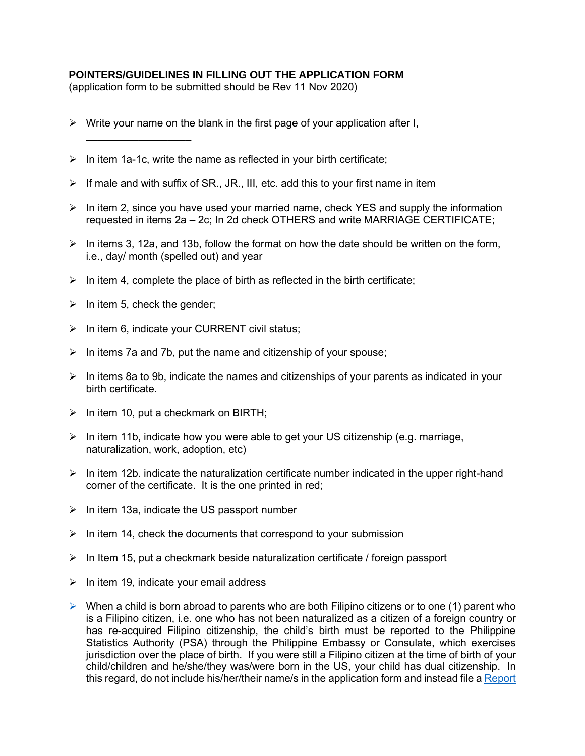## **POINTERS/GUIDELINES IN FILLING OUT THE APPLICATION FORM**

(application form to be submitted should be Rev 11 Nov 2020)

- $\triangleright$  Write your name on the blank in the first page of your application after I,
- $\triangleright$  In item 1a-1c, write the name as reflected in your birth certificate;
- $\triangleright$  If male and with suffix of SR., JR., III, etc. add this to your first name in item
- $\triangleright$  In item 2, since you have used your married name, check YES and supply the information requested in items 2a – 2c; In 2d check OTHERS and write MARRIAGE CERTIFICATE;
- $\triangleright$  In items 3, 12a, and 13b, follow the format on how the date should be written on the form, i.e., day/ month (spelled out) and year
- $\triangleright$  In item 4, complete the place of birth as reflected in the birth certificate;
- $\triangleright$  In item 5, check the gender;

\_\_\_\_\_\_\_\_\_\_\_\_\_\_\_\_\_\_

- $\triangleright$  In item 6, indicate your CURRENT civil status;
- $\triangleright$  In items 7a and 7b, put the name and citizenship of your spouse;
- $\triangleright$  In items 8a to 9b, indicate the names and citizenships of your parents as indicated in your birth certificate.
- $\triangleright$  In item 10, put a checkmark on BIRTH;
- $\triangleright$  In item 11b, indicate how you were able to get your US citizenship (e.g. marriage, naturalization, work, adoption, etc)
- $\triangleright$  In item 12b. indicate the naturalization certificate number indicated in the upper right-hand corner of the certificate. It is the one printed in red;
- $\triangleright$  In item 13a, indicate the US passport number
- $\triangleright$  In item 14, check the documents that correspond to your submission
- $\triangleright$  In Item 15, put a checkmark beside naturalization certificate / foreign passport
- $\triangleright$  In item 19, indicate your email address
- $\triangleright$  When a child is born abroad to parents who are both Filipino citizens or to one (1) parent who is a Filipino citizen, i.e. one who has not been naturalized as a citizen of a foreign country or has re-acquired Filipino citizenship, the child's birth must be reported to the Philippine Statistics Authority (PSA) through the Philippine Embassy or Consulate, which exercises jurisdiction over the place of birth. If you were still a Filipino citizen at the time of birth of your child/children and he/she/they was/were born in the US, your child has dual citizenship. In this regard, do not include his/her/their name/s in the application form and instead file a [Report](http://newyorkpcg.org/pcgny/civil-registration/report-of-birth-of-a-filipino-abroad/)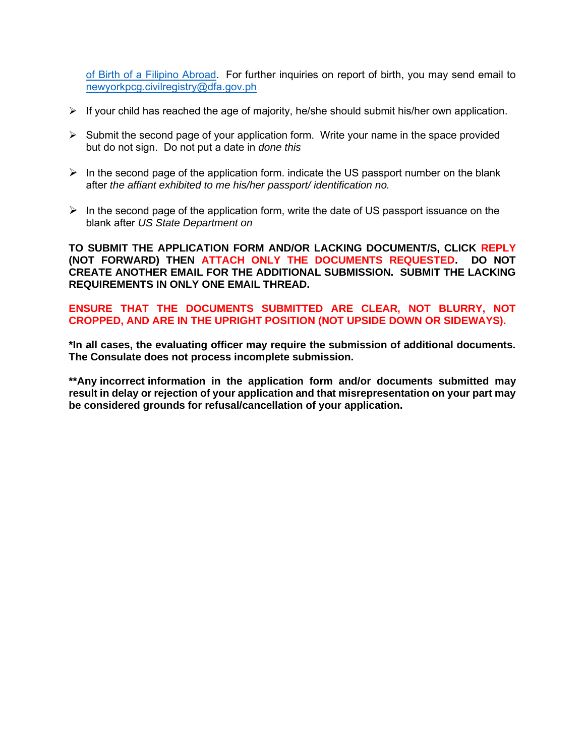[of Birth of a Filipino Abroad.](http://newyorkpcg.org/pcgny/civil-registration/report-of-birth-of-a-filipino-abroad/) For further inquiries on report of birth, you may send email to [newyorkpcg.civilregistry@dfa.gov.ph](mailto:newyorkpcg.civilregistry@dfa.gov.ph)

- $\triangleright$  If your child has reached the age of majority, he/she should submit his/her own application.
- ➢ Submit the second page of your application form. Write your name in the space provided but do not sign. Do not put a date in *done this*
- $\triangleright$  In the second page of the application form. indicate the US passport number on the blank after *the affiant exhibited to me his/her passport/ identification no.*
- $\triangleright$  In the second page of the application form, write the date of US passport issuance on the blank after *US State Department on*

**TO SUBMIT THE APPLICATION FORM AND/OR LACKING DOCUMENT/S, CLICK REPLY (NOT FORWARD) THEN ATTACH ONLY THE DOCUMENTS REQUESTED. DO NOT CREATE ANOTHER EMAIL FOR THE ADDITIONAL SUBMISSION. SUBMIT THE LACKING REQUIREMENTS IN ONLY ONE EMAIL THREAD.**

**ENSURE THAT THE DOCUMENTS SUBMITTED ARE CLEAR, NOT BLURRY, NOT CROPPED, AND ARE IN THE UPRIGHT POSITION (NOT UPSIDE DOWN OR SIDEWAYS).** 

**\*In all cases, the evaluating officer may require the submission of additional documents. The Consulate does not process incomplete submission.**

**\*\*Any incorrect information in the application form and/or documents submitted may result in delay or rejection of your application and that misrepresentation on your part may be considered grounds for refusal/cancellation of your application.**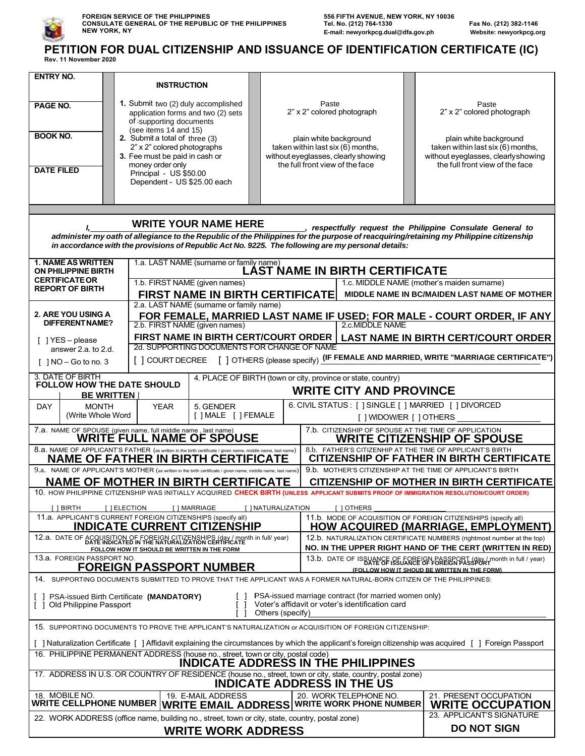

## **PETITION FOR DUAL CITIZENSHIP AND ISSUANCE OF IDENTIFICATION CERTIFICATE (IC) Rev. 11 November 2020**

| <b>ENTRY NO.</b>                                                                                                                                                                                                                                                                                                                           |                                                                                                                                                          |                                        |  |                                                                                                                                          |                                                                                                                                       |  |  |  |  |  |
|--------------------------------------------------------------------------------------------------------------------------------------------------------------------------------------------------------------------------------------------------------------------------------------------------------------------------------------------|----------------------------------------------------------------------------------------------------------------------------------------------------------|----------------------------------------|--|------------------------------------------------------------------------------------------------------------------------------------------|---------------------------------------------------------------------------------------------------------------------------------------|--|--|--|--|--|
|                                                                                                                                                                                                                                                                                                                                            | <b>INSTRUCTION</b>                                                                                                                                       |                                        |  |                                                                                                                                          |                                                                                                                                       |  |  |  |  |  |
| PAGE NO.                                                                                                                                                                                                                                                                                                                                   | 1. Submit two (2) duly accomplished<br>application forms and two (2) sets<br>of supporting documents<br>(see items 14 and 15)                            |                                        |  | Paste<br>2" x 2" colored photograph                                                                                                      | Paste<br>2" x 2" colored photograph                                                                                                   |  |  |  |  |  |
| <b>BOOK NO.</b>                                                                                                                                                                                                                                                                                                                            | 2. Submit a total of three (3)<br>2" x 2" colored photographs<br>3. Fee must be paid in cash or                                                          |                                        |  | plain white background<br>taken within last six (6) months,<br>without eyeglasses, clearly showing                                       | plain white background<br>taken within last six (6) months,<br>without eyeglasses, clearly showing<br>the full front view of the face |  |  |  |  |  |
| <b>DATE FILED</b>                                                                                                                                                                                                                                                                                                                          | money order only<br>Principal - US \$50.00<br>Dependent - US \$25.00 each                                                                                |                                        |  | the full front view of the face                                                                                                          |                                                                                                                                       |  |  |  |  |  |
|                                                                                                                                                                                                                                                                                                                                            |                                                                                                                                                          |                                        |  |                                                                                                                                          |                                                                                                                                       |  |  |  |  |  |
| <b>WRITE YOUR NAME HERE</b><br>_, respectfully request the Philippine Consulate General to<br>administer my oath of allegiance to the Republic of the Philippines for the purpose of reacquiring/retaining my Philippine citizenship<br>in accordance with the provisions of Republic Act No. 9225. The following are my personal details: |                                                                                                                                                          |                                        |  |                                                                                                                                          |                                                                                                                                       |  |  |  |  |  |
| <b>1. NAME AS WRITTEN</b><br>1.a. LAST NAME (surname or family name)<br><b>LAST NAME IN BIRTH CERTIFICATE</b><br><b>ON PHILIPPINE BIRTH</b>                                                                                                                                                                                                |                                                                                                                                                          |                                        |  |                                                                                                                                          |                                                                                                                                       |  |  |  |  |  |
| <b>CERTIFICATE OR</b>                                                                                                                                                                                                                                                                                                                      |                                                                                                                                                          | 1.b. FIRST NAME (given names)          |  |                                                                                                                                          | 1.c. MIDDLE NAME (mother's maiden surname)                                                                                            |  |  |  |  |  |
| <b>REPORT OF BIRTH</b>                                                                                                                                                                                                                                                                                                                     |                                                                                                                                                          | <b>FIRST NAME IN BIRTH CERTIFICATE</b> |  |                                                                                                                                          | MIDDLE NAME IN BC/MAIDEN LAST NAME OF MOTHER                                                                                          |  |  |  |  |  |
| 2.a. LAST NAME (surname or family name)<br>2. ARE YOU USING A<br>FOR FEMALE, MARRIED LAST NAME IF USED; FOR MALE - COURT ORDER, IF ANY<br><b>DIFFERENT NAME?</b><br>2.c.MIDDLE NAME<br>2.b. FIRST NAME (given names)                                                                                                                       |                                                                                                                                                          |                                        |  |                                                                                                                                          |                                                                                                                                       |  |  |  |  |  |
| $\lceil$   YES - please                                                                                                                                                                                                                                                                                                                    | FIRST NAME IN BIRTH CERT/COURT ORDER<br><b>LAST NAME IN BIRTH CERT/COURT ORDER</b><br>2d. SUPPORTING DOCUMENTS FOR CHANGE OF NAME                        |                                        |  |                                                                                                                                          |                                                                                                                                       |  |  |  |  |  |
| answer 2.a. to 2.d.<br>[ ] COURT DECREE [ ] OTHERS (please specify) (IF FEMALE AND MARRIED, WRITE "MARRIAGE CERTIFICATE")<br>$\lceil$   NO - Go to no. 3                                                                                                                                                                                   |                                                                                                                                                          |                                        |  |                                                                                                                                          |                                                                                                                                       |  |  |  |  |  |
| 3. DATE OF BIRTH<br>4. PLACE OF BIRTH (town or city, province or state, country)<br>FOLLOW HOW THE DATE SHOULD<br><b>WRITE CITY AND PROVINCE</b><br><b>BE WRITTEN</b>                                                                                                                                                                      |                                                                                                                                                          |                                        |  |                                                                                                                                          |                                                                                                                                       |  |  |  |  |  |
| <b>DAY</b><br><b>YEAR</b><br>5. GENDER<br><b>MONTH</b><br>(Write Whole Word<br>[ ] MALE [ ] FEMALE                                                                                                                                                                                                                                         |                                                                                                                                                          |                                        |  | 6. CIVIL STATUS : [ ] SINGLE [ ] MARRIED [ ] DIVORCED<br>[ ] WIDOW/ER [ ] OTHERS ________                                                |                                                                                                                                       |  |  |  |  |  |
| 7.b. CITIZENSHIP OF SPOUSE AT THE TIME OF APPLICATION<br>7.a. NAME OF SPOUSE (given name, full middle name, last name)<br>WRITE FULL NAME OF SPOUSE                                                                                                                                                                                        |                                                                                                                                                          |                                        |  |                                                                                                                                          |                                                                                                                                       |  |  |  |  |  |
| <b>WRITE CITIZENSHIP OF SPOUSE</b><br>8.a. NAME OF APPLICANT'S FATHER (as written in the birth certificate / given name, middle name, last name)<br>NAME OF FATHER IN BIRTH CERTIFICATE<br>8.b. FATHER'S CITIZENHIP AT THE TIME OF APPLICANT'S BIRTH<br><b>CITIZENSHIP OF FATHER IN BIRTH CERTIFICATE</b>                                  |                                                                                                                                                          |                                        |  |                                                                                                                                          |                                                                                                                                       |  |  |  |  |  |
| 9.a. NAME OF APPLICANT'S MOTHER (as written in the birth certificate / given name, middle name, last name)<br>9.b. MOTHER'S CITIZENSHIP AT THE TIME OF APPLICANT'S BIRTH<br><b>NAME OF MOTHER IN BIRTH CERTIFICATE</b><br><b>CITIZENSHIP OF MOTHER IN BIRTH CERTIFICATE</b>                                                                |                                                                                                                                                          |                                        |  |                                                                                                                                          |                                                                                                                                       |  |  |  |  |  |
|                                                                                                                                                                                                                                                                                                                                            |                                                                                                                                                          |                                        |  | 10. HOW PHILIPPINE CITIZENSHIP WAS INITIALLY ACQUIRED CHECK BIRTH (UNLESS APPLICANT SUBMITS PROOF OF IMMIGRATION RESOLUTION/COURT ORDER) |                                                                                                                                       |  |  |  |  |  |
| [ ] BIRTH                                                                                                                                                                                                                                                                                                                                  | [ ] ELECTION<br>[ ] MARRIAGE<br>[ ] NATURALIZATION<br>[ ] OTHERS                                                                                         |                                        |  |                                                                                                                                          |                                                                                                                                       |  |  |  |  |  |
| 11.a. APPLICANT'S CURRENT FOREIGN CITIZENSHIPS (specify all)<br>11.b. MODE OF ACQUISITION OF FOREIGN CITIZENSHIPS (specify all)<br><b>INDICATE CURRENT CITIZENSHIP</b><br><b>HOW ACQUIRED (MARRIAGE, EMPLOYMENT)</b>                                                                                                                       |                                                                                                                                                          |                                        |  |                                                                                                                                          |                                                                                                                                       |  |  |  |  |  |
| 12.a. DATE OF ACQUISITION OF FOREIGN CITIZENSHIPS (day / month in full/ year)<br>DATE INDICATED IN THE NATURALIZATION CERTIFICATE<br>12.b. NATURALIZATION CERTIFICATE NUMBERS (rightmost number at the top)<br>NO. IN THE UPPER RIGHT HAND OF THE CERT (WRITTEN IN RED)<br>FOLLOW HOW IT SHOULD BE WRITTEN IN THE FORM                     |                                                                                                                                                          |                                        |  |                                                                                                                                          |                                                                                                                                       |  |  |  |  |  |
| 13.a. FOREIGN PASSPORT NO.<br>13.b. DATE OF ISSUANCE OF FOREIGN PASSPORT (day/month in full / year)<br><b>FOREIGN PASSPORT NUMBER</b><br>(FOLLOW HOW IT SHOUD BE WRITTEN IN THE FORM)                                                                                                                                                      |                                                                                                                                                          |                                        |  |                                                                                                                                          |                                                                                                                                       |  |  |  |  |  |
|                                                                                                                                                                                                                                                                                                                                            |                                                                                                                                                          |                                        |  | 14. SUPPORTING DOCUMENTS SUBMITTED TO PROVE THAT THE APPLICANT WAS A FORMER NATURAL-BORN CITIZEN OF THE PHILIPPINES:                     |                                                                                                                                       |  |  |  |  |  |
| PSA-issued marriage contract (for married women only)<br>PSA-issued Birth Certificate (MANDATORY)<br>Voter's affidavit or voter's identification card<br>[ ] Old Philippine Passport<br>Others (specify)                                                                                                                                   |                                                                                                                                                          |                                        |  |                                                                                                                                          |                                                                                                                                       |  |  |  |  |  |
| 15. SUPPORTING DOCUMENTS TO PROVE THE APPLICANT'S NATURALIZATION or ACQUISITION OF FOREIGN CITIZENSHIP:                                                                                                                                                                                                                                    |                                                                                                                                                          |                                        |  |                                                                                                                                          |                                                                                                                                       |  |  |  |  |  |
|                                                                                                                                                                                                                                                                                                                                            | [ ] Naturalization Certificate [ ] Affidavit explaining the circumstances by which the applicant's foreign citizenship was acquired [ ] Foreign Passport |                                        |  |                                                                                                                                          |                                                                                                                                       |  |  |  |  |  |
| 16. PHILIPPINE PERMANENT ADDRESS (house no., street, town or city, postal code)<br><b>INDICATE ADDRESS IN THE PHILIPPINES</b>                                                                                                                                                                                                              |                                                                                                                                                          |                                        |  |                                                                                                                                          |                                                                                                                                       |  |  |  |  |  |
| 17. ADDRESS IN U.S. OR COUNTRY OF RESIDENCE (house no., street, town or city, state, country, postal zone)<br><b>INDICATE ADDRESS IN THE US</b>                                                                                                                                                                                            |                                                                                                                                                          |                                        |  |                                                                                                                                          |                                                                                                                                       |  |  |  |  |  |
| 18. MOBILE NO.<br>19. E-MAIL ADDRESS<br>20. WORK TELEPHONE NO.<br>21. PRESENT OCCUPATION<br>WRITE CELLPHONE NUMBER $ {\sf WRITE}$ EMAIL ADDRESS $ {\sf WRITE}$ Work phone number<br><b>WRITE OCCUPATION</b>                                                                                                                                |                                                                                                                                                          |                                        |  |                                                                                                                                          |                                                                                                                                       |  |  |  |  |  |
| 23. APPLICANT'S SIGNATURE<br>22. WORK ADDRESS (office name, building no., street, town or city, state, country, postal zone)<br><b>DO NOT SIGN</b><br><b>WRITE WORK ADDRESS</b>                                                                                                                                                            |                                                                                                                                                          |                                        |  |                                                                                                                                          |                                                                                                                                       |  |  |  |  |  |